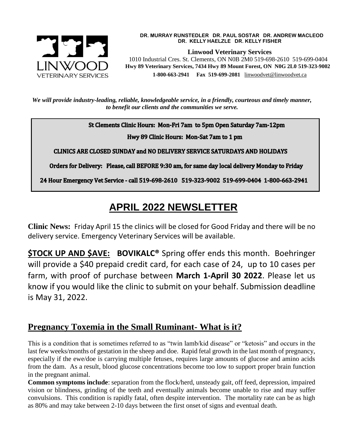

#### **DR. MURRAY RUNSTEDLER DR. PAUL SOSTAR DR. ANDREW MACLEOD DR. KELLY HAELZLE DR. KELLY FISHER**

**Linwood Veterinary Services**

 1010 Industrial Cres. St. Clements, ON N0B 2M0 519-698-2610 519-699-0404  **Hwy 89 Veterinary Services, 7434 Hwy 89 Mount Forest, ON N0G 2L0 519-323-9002 1-800-663-2941 Fax 519-699-2081** [linwoodvet@linwoodvet.ca](mailto:linwoodvet@linwoodvet.ca)

*We will provide industry-leading, reliable, knowledgeable service, in a friendly, courteous and timely manner, to benefit our clients and the communities we serve.*

St Clements Clinic Hours: Mon-Fri 7am to 5pm Open Saturday 7am-12pm

Hwy 89 Clinic Hours: Mon-Sat 7am to 1 pm

**CLINICS ARE CLOSED SUNDAY and NO DELIVERY SERVICE SATURDAYS AND HOLIDAYS** 

Orders for Delivery: Please, call BEFORE 9:30 am, for same day local delivery Monday to Friday

24 Hour Emergency Vet Service - call 519-698-2610 519-323-9002 519-699-0404 1-800-663-2941

# **APRIL 2022 NEWSLETTER**

**Clinic News:** Friday April 15 the clinics will be closed for Good Friday and there will be no delivery service. Emergency Veterinary Services will be available.

**\$TOCK UP AND \$AVE: BOVIKALC®** Spring offer ends this month. Boehringer will provide a \$40 prepaid credit card, for each case of 24, up to 10 cases per farm, with proof of purchase between **March 1-April 30 2022**. Please let us know if you would like the clinic to submit on your behalf. Submission deadline is May 31, 2022.

# **Pregnancy Toxemia in the Small Ruminant- What is it?**

This is a condition that is sometimes referred to as "twin lamb/kid disease" or "ketosis" and occurs in the last few weeks/months of gestation in the sheep and doe. Rapid fetal growth in the last month of pregnancy, especially if the ewe/doe is carrying multiple fetuses, requires large amounts of glucose and amino acids from the dam. As a result, blood glucose concentrations become too low to support proper brain function in the pregnant animal.

**Common symptoms include**: separation from the flock/herd, unsteady gait, off feed, depression, impaired vision or blindness, grinding of the teeth and eventually animals become unable to rise and may suffer convulsions. This condition is rapidly fatal, often despite intervention. The mortality rate can be as high as 80% and may take between 2-10 days between the first onset of signs and eventual death.